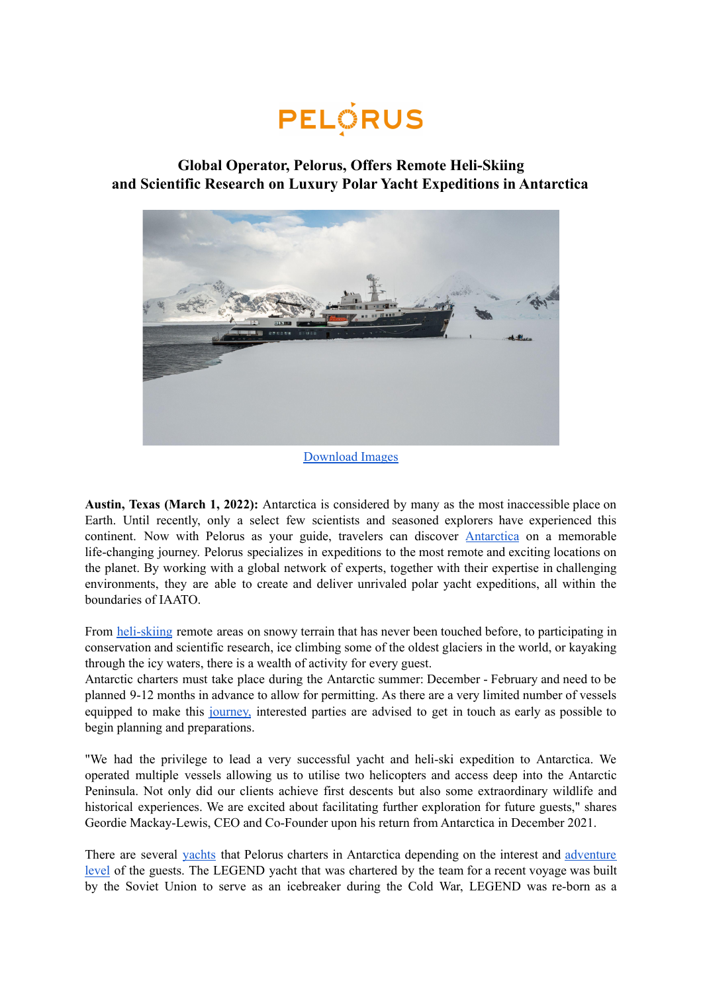

## **Global Operator, Pelorus, Offers Remote Heli-Skiing and Scientific Research on Luxury Polar Yacht Expeditions in Antarctica**



## [Download](https://www.dropbox.com/sh/1y7q5ejp3xkbs4p/AAAIJPuEMBBocUH4maTSBQ3oa?dl=0) Images

**Austin, Texas (March 1, 2022):** Antarctica is considered by many as the most inaccessible place on Earth. Until recently, only a select few scientists and seasoned explorers have experienced this continent. Now with Pelorus as your guide, travelers can discover [Antarctica](https://pelorusx.com/antarctica-yacht-expeditions/) on a memorable life-changing journey. Pelorus specializes in expeditions to the most remote and exciting locations on the planet. By working with a global network of experts, together with their expertise in challenging environments, they are able to create and deliver unrivaled polar yacht expeditions, all within the boundaries of IAATO.

From [heli-skiing](https://pelorusx.com/ski-and-sail-in-antarctica/) remote areas on snowy terrain that has never been touched before, to participating in conservation and scientific research, ice climbing some of the oldest glaciers in the world, or kayaking through the icy waters, there is a wealth of activity for every guest.

Antarctic charters must take place during the Antarctic summer: December - February and need to be planned 9-12 months in advance to allow for permitting. As there are a very limited number of vessels equipped to make this [journey,](https://pelorusx.com/antarctica-yacht-expedition-timeline/) interested parties are advised to get in touch as early as possible to begin planning and preparations.

"We had the privilege to lead a very successful yacht and heli-ski expedition to Antarctica. We operated multiple vessels allowing us to utilise two helicopters and access deep into the Antarctic Peninsula. Not only did our clients achieve first descents but also some extraordinary wildlife and historical experiences. We are excited about facilitating further exploration for future guests," shares Geordie Mackay-Lewis, CEO and Co-Founder upon his return from Antarctica in December 2021.

There are several [yachts](https://pelorusx.com/top-yachts-for-an-antarctic-adventure/) that Pelorus charters in Antarctica depending on the interest and [adventure](https://pelorusx.com/wilds-of-antarctica/) [level](https://pelorusx.com/wilds-of-antarctica/) of the guests. The LEGEND yacht that was chartered by the team for a recent voyage was built by the Soviet Union to serve as an icebreaker during the Cold War, LEGEND was re-born as a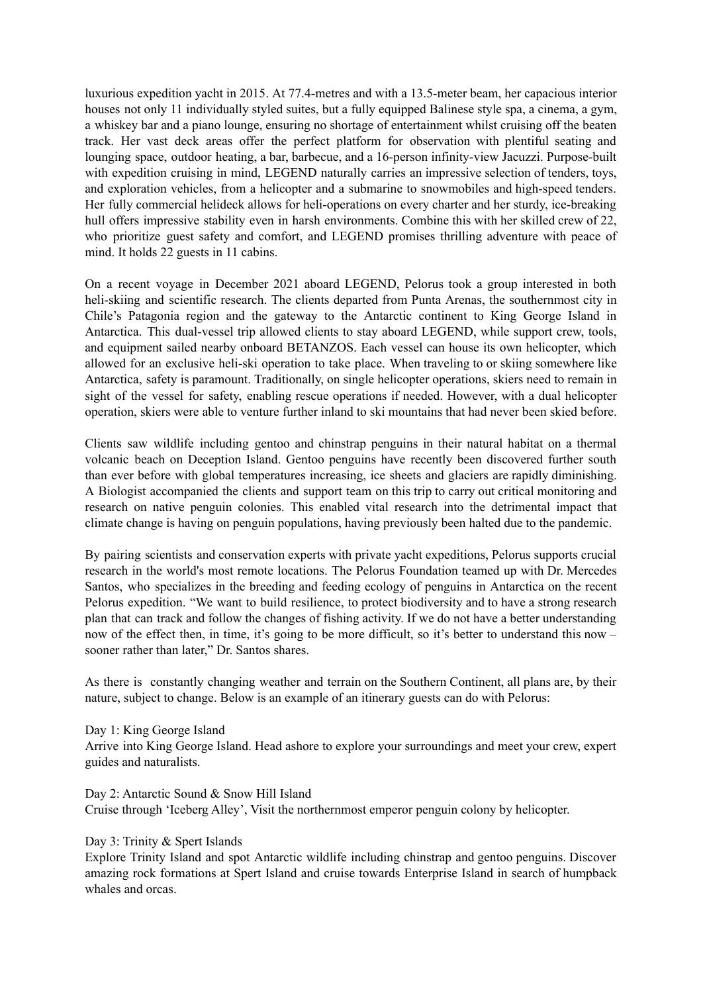luxurious expedition yacht in 2015. At 77.4-metres and with a 13.5-meter beam, her capacious interior houses not only 11 individually styled suites, but a fully equipped Balinese style spa, a cinema, a gym, a whiskey bar and a piano lounge, ensuring no shortage of entertainment whilst cruising off the beaten track. Her vast deck areas offer the perfect platform for observation with plentiful seating and lounging space, outdoor heating, a bar, barbecue, and a 16-person infinity-view Jacuzzi. Purpose-built with expedition cruising in mind, LEGEND naturally carries an impressive selection of tenders, toys, and exploration vehicles, from a helicopter and a submarine to snowmobiles and high-speed tenders. Her fully commercial helideck allows for heli-operations on every charter and her sturdy, ice-breaking hull offers impressive stability even in harsh environments. Combine this with her skilled crew of 22, who prioritize guest safety and comfort, and LEGEND promises thrilling adventure with peace of mind. It holds 22 guests in 11 cabins.

On a recent voyage in December 2021 aboard LEGEND, Pelorus took a group interested in both heli-skiing and scientific research. The clients departed from Punta Arenas, the southernmost city in Chile's Patagonia region and the gateway to the Antarctic continent to King George Island in Antarctica. This dual-vessel trip allowed clients to stay aboard LEGEND, while support crew, tools, and equipment sailed nearby onboard BETANZOS. Each vessel can house its own helicopter, which allowed for an exclusive heli-ski operation to take place. When traveling to or skiing somewhere like Antarctica, safety is paramount. Traditionally, on single helicopter operations, skiers need to remain in sight of the vessel for safety, enabling rescue operations if needed. However, with a dual helicopter operation, skiers were able to venture further inland to ski mountains that had never been skied before.

Clients saw wildlife including gentoo and chinstrap penguins in their natural habitat on a thermal volcanic beach on Deception Island. Gentoo penguins have recently been discovered further south than ever before with global temperatures increasing, ice sheets and glaciers are rapidly diminishing. A Biologist accompanied the clients and support team on this trip to carry out critical monitoring and research on native penguin colonies. This enabled vital research into the detrimental impact that climate change is having on penguin populations, having previously been halted due to the pandemic.

By pairing scientists and conservation experts with private yacht expeditions, Pelorus supports crucial research in the world's most remote locations. The Pelorus Foundation teamed up with Dr. Mercedes Santos, who specializes in the breeding and feeding ecology of penguins in Antarctica on the recent Pelorus expedition. "We want to build resilience, to protect biodiversity and to have a strong research plan that can track and follow the changes of fishing activity. If we do not have a better understanding now of the effect then, in time, it's going to be more difficult, so it's better to understand this now – sooner rather than later," Dr. Santos shares.

As there is constantly changing weather and terrain on the Southern Continent, all plans are, by their nature, subject to change. Below is an example of an itinerary guests can do with Pelorus:

Day 1: King George Island Arrive into King George Island. Head ashore to explore your surroundings and meet your crew, expert guides and naturalists.

Day 2: Antarctic Sound & Snow Hill Island Cruise through 'Iceberg Alley', Visit the northernmost emperor penguin colony by helicopter.

Day 3: Trinity & Spert Islands

Explore Trinity Island and spot Antarctic wildlife including chinstrap and gentoo penguins. Discover amazing rock formations at Spert Island and cruise towards Enterprise Island in search of humpback whales and orcas.